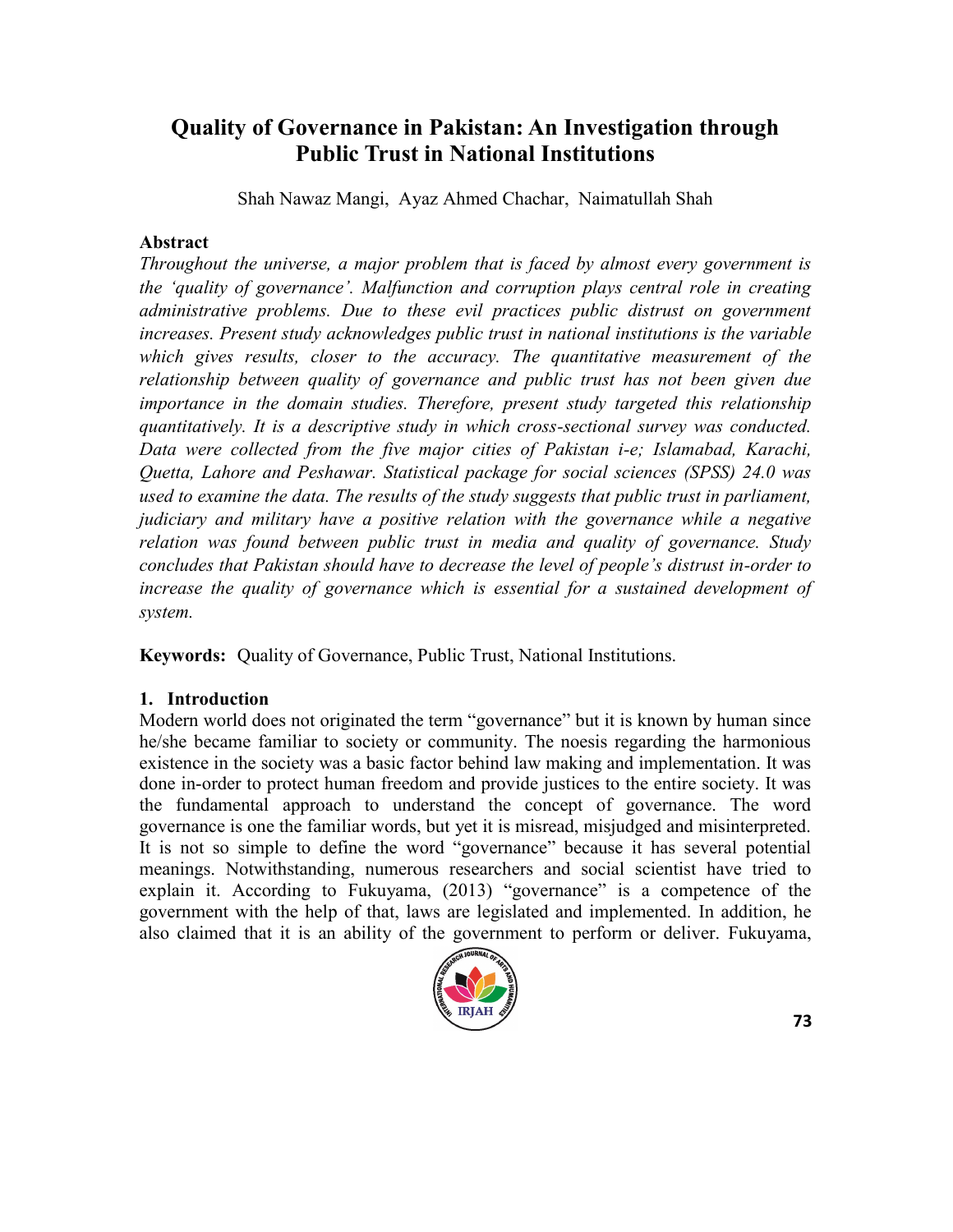# **Quality of Governance in Pakistan: An Investigation through Public Trust in National Institutions**

Shah Nawaz Mangi, Ayaz Ahmed Chachar, Naimatullah Shah

### **Abstract**

*Throughout the universe, a major problem that is faced by almost every government is the ‗quality of governance'. Malfunction and corruption plays central role in creating administrative problems. Due to these evil practices public distrust on government increases. Present study acknowledges public trust in national institutions is the variable which gives results, closer to the accuracy. The quantitative measurement of the relationship between quality of governance and public trust has not been given due importance in the domain studies. Therefore, present study targeted this relationship quantitatively. It is a descriptive study in which cross-sectional survey was conducted. Data were collected from the five major cities of Pakistan i-e; Islamabad, Karachi, Quetta, Lahore and Peshawar. Statistical package for social sciences (SPSS) 24.0 was used to examine the data. The results of the study suggests that public trust in parliament, judiciary and military have a positive relation with the governance while a negative relation was found between public trust in media and quality of governance. Study concludes that Pakistan should have to decrease the level of people's distrust in-order to increase the quality of governance which is essential for a sustained development of system.*

**Keywords:** Quality of Governance, Public Trust, National Institutions.

# **1. Introduction**

Modern world does not originated the term "governance" but it is known by human since he/she became familiar to society or community. The noesis regarding the harmonious existence in the society was a basic factor behind law making and implementation. It was done in-order to protect human freedom and provide justices to the entire society. It was the fundamental approach to understand the concept of governance. The word governance is one the familiar words, but yet it is misread, misjudged and misinterpreted. It is not so simple to define the word "governance" because it has several potential meanings. Notwithstanding, numerous researchers and social scientist have tried to explain it. According to [Fukuyama, \(2013\)](file:///F:/IRJAH%20Folder/IRJAH%2047/6.%20co%20Jamal%20Mangi.docx#_ENREF_19#_ENREF_19) "governance" is a competence of the government with the help of that, laws are legislated and implemented. In addition, he also claimed that it is an ability of the government to perform or deliver. [Fukuyama,](file:///F:/IRJAH%20Folder/IRJAH%2047/6.%20co%20Jamal%20Mangi.docx#_ENREF_19#_ENREF_19) 

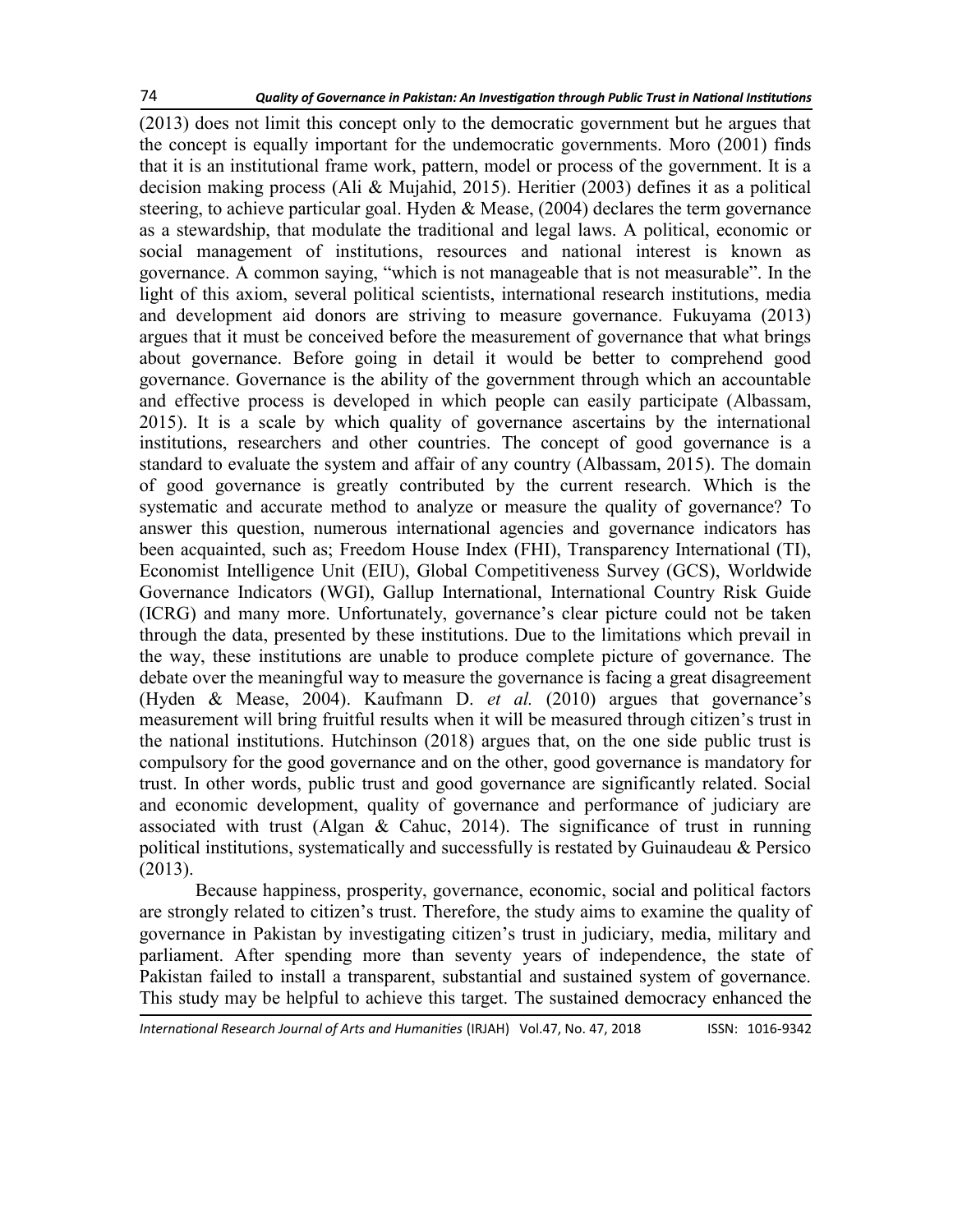[\(2013\)](file:///F:/IRJAH%20Folder/IRJAH%2047/6.%20co%20Jamal%20Mangi.docx#_ENREF_19#_ENREF_19) does not limit this concept only to the democratic government but he argues that the concept is equally important for the undemocratic governments. Moro (2001) finds that it is an institutional frame work, pattern, model or process of the government. It is a decision making process [\(Ali & Mujahid, 2015\)](file:///F:/IRJAH%20Folder/IRJAH%2047/6.%20co%20Jamal%20Mangi.docx#_ENREF_4#_ENREF_4). Heritier (2003) defines it as a political steering, to achieve particular goal. [Hyden & Mease, \(2004\)](file:///F:/IRJAH%20Folder/IRJAH%2047/6.%20co%20Jamal%20Mangi.docx#_ENREF_29#_ENREF_29) declares the term governance as a stewardship, that modulate the traditional and legal laws. A political, economic or social management of institutions, resources and national interest is known as governance. A common saying, "which is not manageable that is not measurable". In the light of this axiom, several political scientists, international research institutions, media and development aid donors are striving to measure governance. Fukuyama (2013) argues that it must be conceived before the measurement of governance that what brings about governance. Before going in detail it would be better to comprehend good governance. Governance is the ability of the government through which an accountable and effective process is developed in which people can easily participate ([Albassam,](file:///F:/IRJAH%20Folder/IRJAH%2047/6.%20co%20Jamal%20Mangi.docx#_ENREF_2#_ENREF_2)  [2015\).](file:///F:/IRJAH%20Folder/IRJAH%2047/6.%20co%20Jamal%20Mangi.docx#_ENREF_2#_ENREF_2) It is a scale by which quality of governance ascertains by the international institutions, researchers and other countries. The concept of good governance is a standard to evaluate the system and affair of any country ([Albassam, 2015\).](file:///F:/IRJAH%20Folder/IRJAH%2047/6.%20co%20Jamal%20Mangi.docx#_ENREF_2#_ENREF_2) The domain of good governance is greatly contributed by the current research. Which is the systematic and accurate method to analyze or measure the quality of governance? To answer this question, numerous international agencies and governance indicators has been acquainted, such as; Freedom House Index (FHI), Transparency International (TI), Economist Intelligence Unit (EIU), Global Competitiveness Survey (GCS), Worldwide Governance Indicators (WGI), Gallup International, International Country Risk Guide (ICRG) and many more. Unfortunately, governance's clear picture could not be taken through the data, presented by these institutions. Due to the limitations which prevail in the way, these institutions are unable to produce complete picture of governance. The debate over the meaningful way to measure the governance is facing a great disagreement ([Hyden & Mease, 2004\).](file:///F:/IRJAH%20Folder/IRJAH%2047/6.%20co%20Jamal%20Mangi.docx#_ENREF_29#_ENREF_29) Kaufmann D. *et al.* (2010) argues that governance's measurement will bring fruitful results when it will be measured through citizen's trust in the national institutions. [Hutchinson \(2018\)](file:///F:/IRJAH%20Folder/IRJAH%2047/6.%20co%20Jamal%20Mangi.docx#_ENREF_28#_ENREF_28) argues that, on the one side public trust is compulsory for the good governance and on the other, good governance is mandatory for trust. In other words, public trust and good governance are significantly related. Social and economic development, quality of governance and performance of judiciary are associated with trust ([Algan & Cahuc, 2014\).](file:///F:/IRJAH%20Folder/IRJAH%2047/6.%20co%20Jamal%20Mangi.docx#_ENREF_3#_ENREF_3) The significance of trust in running political institutions, systematically and successfully is restated by [Guinaudeau & Persico](file:///F:/IRJAH%20Folder/IRJAH%2047/6.%20co%20Jamal%20Mangi.docx#_ENREF_23#_ENREF_23)  [\(2013\)](file:///F:/IRJAH%20Folder/IRJAH%2047/6.%20co%20Jamal%20Mangi.docx#_ENREF_23#_ENREF_23).

Because happiness, prosperity, governance, economic, social and political factors are strongly related to citizen's trust. Therefore, the study aims to examine the quality of governance in Pakistan by investigating citizen's trust in judiciary, media, military and parliament. After spending more than seventy years of independence, the state of Pakistan failed to install a transparent, substantial and sustained system of governance. This study may be helpful to achieve this target. The sustained democracy enhanced the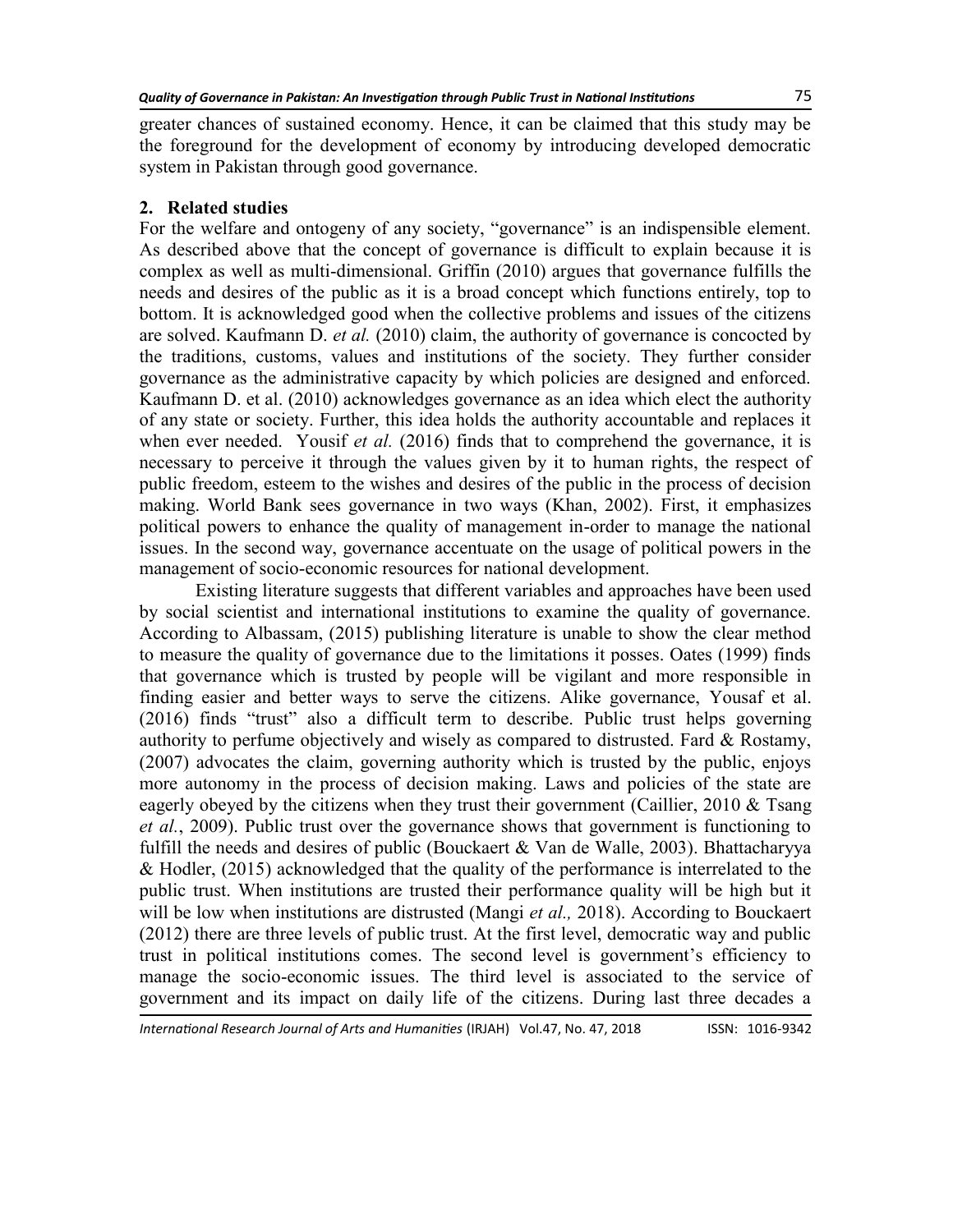greater chances of sustained economy. Hence, it can be claimed that this study may be the foreground for the development of economy by introducing developed democratic system in Pakistan through good governance.

### **2. Related studies**

For the welfare and ontogeny of any society, "governance" is an indispensible element. As described above that the concept of governance is difficult to explain because it is complex as well as multi-dimensional. Griffin (2010) argues that governance fulfills the needs and desires of the public as it is a broad concept which functions entirely, top to bottom. It is acknowledged good when the collective problems and issues of the citizens are solved. [Kaufmann D.](file:///F:/IRJAH%20Folder/IRJAH%2047/6.%20co%20Jamal%20Mangi.docx#_ENREF_34#_ENREF_34) *et al.* (2010) claim, the authority of governance is concocted by the traditions, customs, values and institutions of the society. They further consider governance as the administrative capacity by which policies are designed and enforced. [Kaufmann D. et al. \(2010\)](file:///F:/IRJAH%20Folder/IRJAH%2047/6.%20co%20Jamal%20Mangi.docx#_ENREF_34#_ENREF_34) acknowledges governance as an idea which elect the authority of any state or society. Further, this idea holds the authority accountable and replaces it when ever needed. Yousif *et al.* (2016) finds that to comprehend the governance, it is necessary to perceive it through the values given by it to human rights, the respect of public freedom, esteem to the wishes and desires of the public in the process of decision making. World Bank sees governance in two ways ([Khan, 2002\).](file:///F:/IRJAH%20Folder/IRJAH%2047/6.%20co%20Jamal%20Mangi.docx#_ENREF_35#_ENREF_35) First, it emphasizes political powers to enhance the quality of management in-order to manage the national issues. In the second way, governance accentuate on the usage of political powers in the management of socio-economic resources for national development.

Existing literature suggests that different variables and approaches have been used by social scientist and international institutions to examine the quality of governance. According to [Albassam, \(2015\)](file:///F:/IRJAH%20Folder/IRJAH%2047/6.%20co%20Jamal%20Mangi.docx#_ENREF_2#_ENREF_2) publishing literature is unable to show the clear method to measure the quality of governance due to the limitations it posses. Oates (1999) finds that governance which is trusted by people will be vigilant and more responsible in finding easier and better ways to serve the citizens. Alike governance, [Yousaf et al.](file:///F:/IRJAH%20Folder/IRJAH%2047/6.%20co%20Jamal%20Mangi.docx#_ENREF_59#_ENREF_59)   $(2016)$  finds "trust" also a difficult term to describe. Public trust helps governing authority to perfume objectively and wisely as compared to distrusted. Fard  $\&$  Rostamy, [\(2007\)](file:///F:/IRJAH%20Folder/IRJAH%2047/6.%20co%20Jamal%20Mangi.docx#_ENREF_16#_ENREF_16) advocates the claim, governing authority which is trusted by the public, enjoys more autonomy in the process of decision making. Laws and policies of the state are eagerly obeyed by the citizens when they trust their government (Caillier, 2010 & Tsang *et al.*, 2009). Public trust over the governance shows that government is functioning to fulfill the needs and desires of public (Bouckaert  $&$  Van de Walle, 2003). Bhattacharyya [& Hodler, \(2015\)](file:///F:/IRJAH%20Folder/IRJAH%2047/6.%20co%20Jamal%20Mangi.docx#_ENREF_7#_ENREF_7) acknowledged that the quality of the performance is interrelated to the public trust. When institutions are trusted their performance quality will be high but it will be low when institutions are distrusted (Mangi *et al.,* 2018). According to Bouckaert (2012) there are three levels of public trust. At the first level, democratic way and public trust in political institutions comes. The second level is government's efficiency to manage the socio-economic issues. The third level is associated to the service of government and its impact on daily life of the citizens. During last three decades a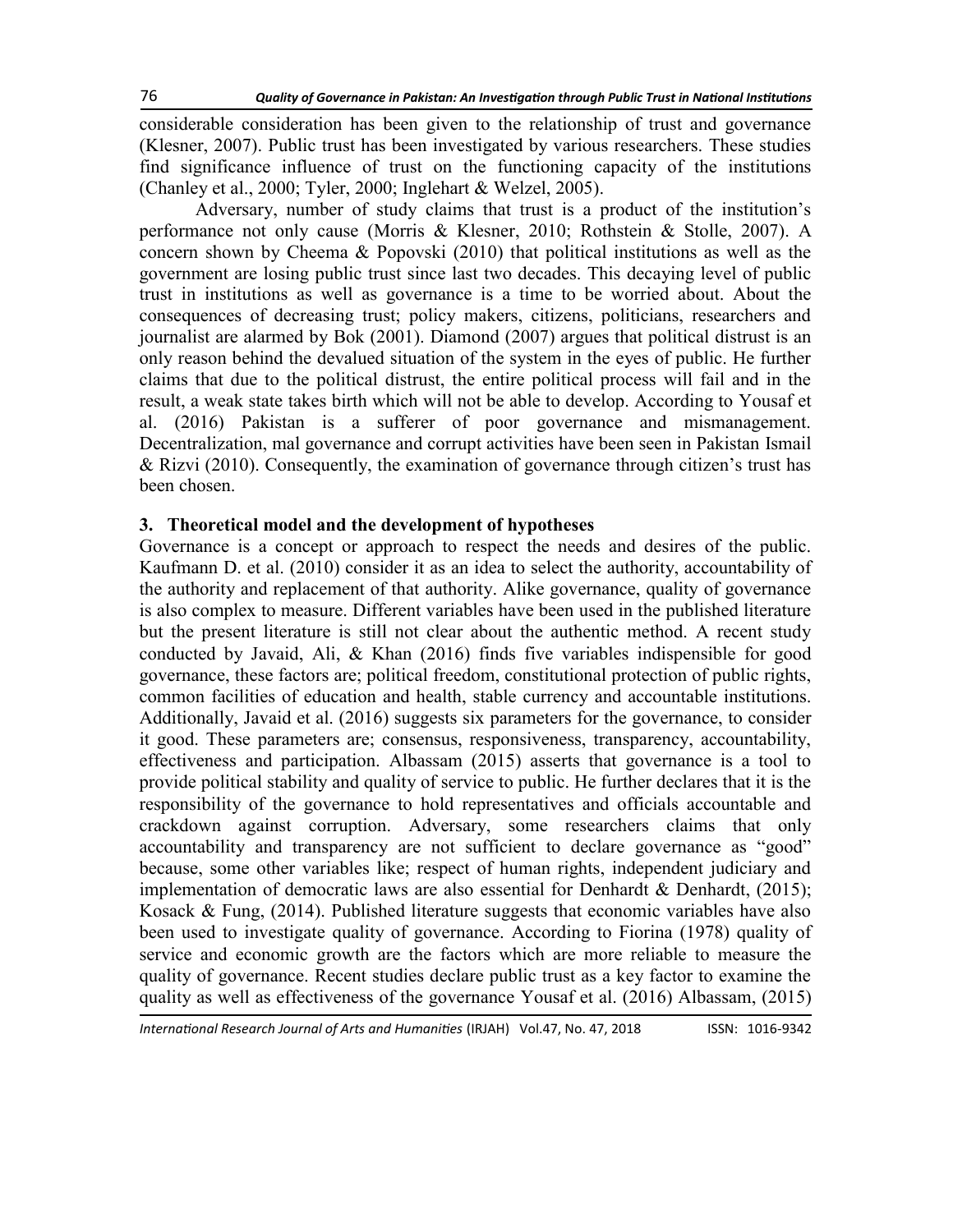considerable consideration has been given to the relationship of trust and governance ([Klesner, 2007\).](file:///F:/IRJAH%20Folder/IRJAH%2047/6.%20co%20Jamal%20Mangi.docx#_ENREF_36#_ENREF_36) Public trust has been investigated by various researchers. These studies find significance influence of trust on the functioning capacity of the institutions ([Chanley et al., 2000;](file:///F:/IRJAH%20Folder/IRJAH%2047/6.%20co%20Jamal%20Mangi.docx#_ENREF_12#_ENREF_12) [Tyler, 2000;](file:///F:/IRJAH%20Folder/IRJAH%2047/6.%20co%20Jamal%20Mangi.docx#_ENREF_54#_ENREF_54) [Inglehart & Welzel, 2005\)](file:///F:/IRJAH%20Folder/IRJAH%2047/6.%20co%20Jamal%20Mangi.docx#_ENREF_30#_ENREF_30).

Adversary, number of study claims that trust is a product of the institution's performance not only cause [\(Morris & Klesner, 2010;](file:///F:/IRJAH%20Folder/IRJAH%2047/6.%20co%20Jamal%20Mangi.docx#_ENREF_43#_ENREF_43) [Rothstein & Stolle, 2007\)](file:///F:/IRJAH%20Folder/IRJAH%2047/6.%20co%20Jamal%20Mangi.docx#_ENREF_49#_ENREF_49). A concern shown by [Cheema & Popovski \(2010\)](file:///F:/IRJAH%20Folder/IRJAH%2047/6.%20co%20Jamal%20Mangi.docx#_ENREF_13#_ENREF_13) that political institutions as well as the government are losing public trust since last two decades. This decaying level of public trust in institutions as well as governance is a time to be worried about. About the consequences of decreasing trust; policy makers, citizens, politicians, researchers and journalist are alarmed by Bok (2001). Diamond (2007) argues that political distrust is an only reason behind the devalued situation of the system in the eyes of public. He further claims that due to the political distrust, the entire political process will fail and in the result, a weak state takes birth which will not be able to develop. According to [Yousaf et](file:///F:/IRJAH%20Folder/IRJAH%2047/6.%20co%20Jamal%20Mangi.docx#_ENREF_59#_ENREF_59)  [al. \(2016\)](file:///F:/IRJAH%20Folder/IRJAH%2047/6.%20co%20Jamal%20Mangi.docx#_ENREF_59#_ENREF_59) Pakistan is a sufferer of poor governance and mismanagement. Decentralization, mal governance and corrupt activities have been seen in Pakistan [Ismail](file:///F:/IRJAH%20Folder/IRJAH%2047/6.%20co%20Jamal%20Mangi.docx#_ENREF_31#_ENREF_31)  [& Rizvi \(2010\).](file:///F:/IRJAH%20Folder/IRJAH%2047/6.%20co%20Jamal%20Mangi.docx#_ENREF_31#_ENREF_31) Consequently, the examination of governance through citizen's trust has been chosen.

### **3. Theoretical model and the development of hypotheses**

Governance is a concept or approach to respect the needs and desires of the public. [Kaufmann D. et al. \(2010\)](file:///F:/IRJAH%20Folder/IRJAH%2047/6.%20co%20Jamal%20Mangi.docx#_ENREF_33#_ENREF_33) consider it as an idea to select the authority, accountability of the authority and replacement of that authority. Alike governance, quality of governance is also complex to measure. Different variables have been used in the published literature but the present literature is still not clear about the authentic method. A recent study conducted by [Javaid, Ali, & Khan \(2016\)](file:///F:/IRJAH%20Folder/IRJAH%2047/6.%20co%20Jamal%20Mangi.docx#_ENREF_32#_ENREF_32) finds five variables indispensible for good governance, these factors are; political freedom, constitutional protection of public rights, common facilities of education and health, stable currency and accountable institutions. Additionally, [Javaid et al. \(2016\)](file:///F:/IRJAH%20Folder/IRJAH%2047/6.%20co%20Jamal%20Mangi.docx#_ENREF_32#_ENREF_32) suggests six parameters for the governance, to consider it good. These parameters are; consensus, responsiveness, transparency, accountability, effectiveness and participation. Albassam [\(2015\)](file:///F:/IRJAH%20Folder/IRJAH%2047/6.%20co%20Jamal%20Mangi.docx#_ENREF_2#_ENREF_2) asserts that governance is a tool to provide political stability and quality of service to public. He further declares that it is the responsibility of the governance to hold representatives and officials accountable and crackdown against corruption. Adversary, some researchers claims that only accountability and transparency are not sufficient to declare governance as "good" because, some other variables like; respect of human rights, independent judiciary and implementation of democratic laws are also essential for Denhardt & Denhardt,  $(2015)$ ; Kosack  $\&$  Fung, (2014). Published literature suggests that economic variables have also been used to investigate quality of governance. According to Fiorina (1978) quality of service and economic growth are the factors which are more reliable to measure the quality of governance. Recent studies declare public trust as a key factor to examine the quality as well as effectiveness of the governance [Yousaf et al. \(2016\)](file:///F:/IRJAH%20Folder/IRJAH%2047/6.%20co%20Jamal%20Mangi.docx#_ENREF_59#_ENREF_59) [Albassam, \(2015\)](file:///F:/IRJAH%20Folder/IRJAH%2047/6.%20co%20Jamal%20Mangi.docx#_ENREF_2#_ENREF_2)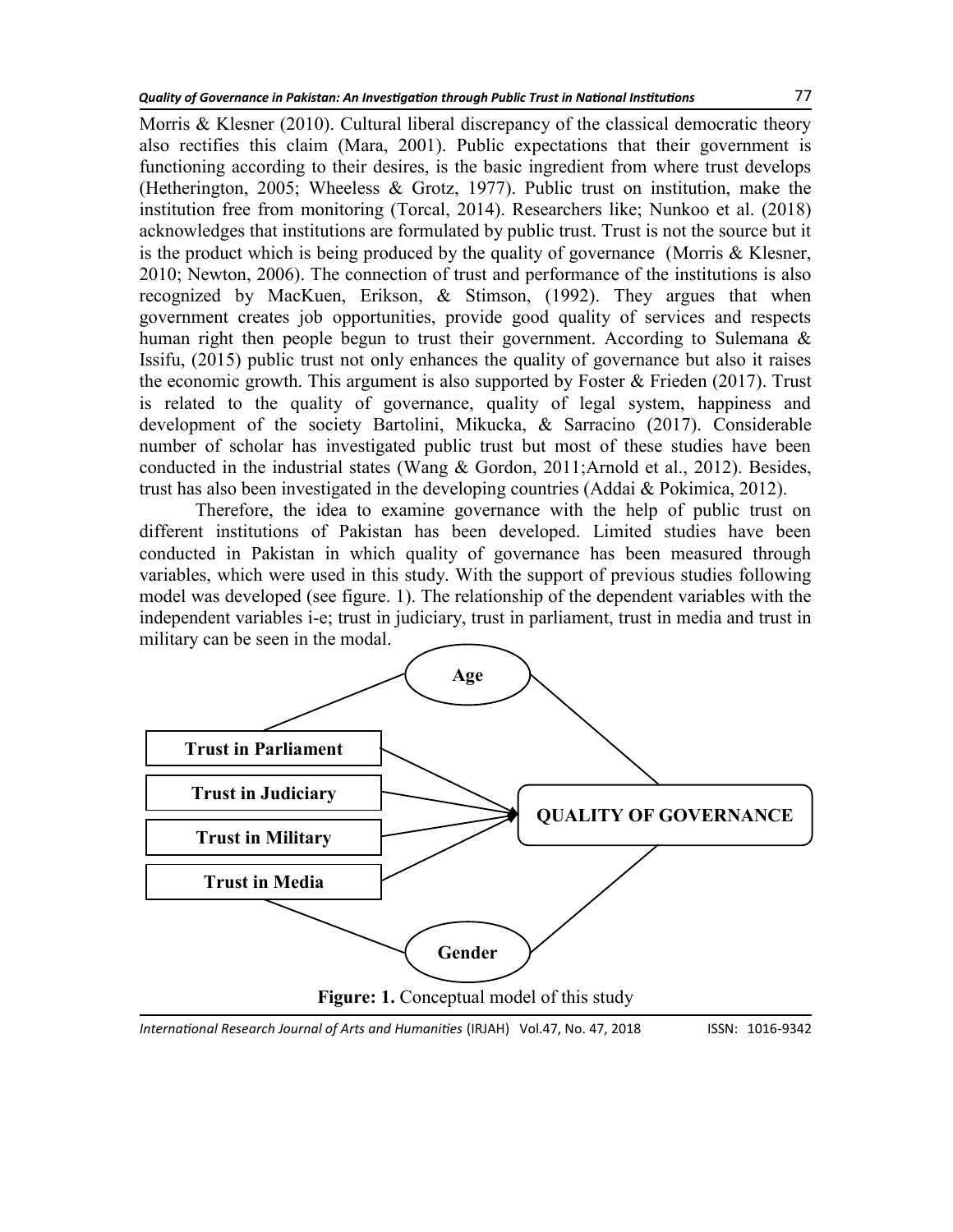[Morris & Klesner \(2010\)](file:///F:/IRJAH%20Folder/IRJAH%2047/6.%20co%20Jamal%20Mangi.docx#_ENREF_43#_ENREF_43). Cultural liberal discrepancy of the classical democratic theory also rectifies this claim [\(Mara, 2001\)](file:///F:/IRJAH%20Folder/IRJAH%2047/6.%20co%20Jamal%20Mangi.docx#_ENREF_41#_ENREF_41). Public expectations that their government is functioning according to their desires, is the basic ingredient from where trust develops ([Hetherington, 2005;](file:///F:/IRJAH%20Folder/IRJAH%2047/6.%20co%20Jamal%20Mangi.docx#_ENREF_27#_ENREF_27) Wheeless  $& Grotz$ , 1977). Public trust on institution, make the institution free from monitoring ([Torcal, 2014\).](file:///F:/IRJAH%20Folder/IRJAH%2047/6.%20co%20Jamal%20Mangi.docx#_ENREF_52#_ENREF_52) Researchers like; [Nunkoo et al. \(2018\)](file:///F:/IRJAH%20Folder/IRJAH%2047/6.%20co%20Jamal%20Mangi.docx#_ENREF_46#_ENREF_46)  acknowledges that institutions are formulated by public trust. Trust is not the source but it is the product which is being produced by the quality of governance ([Morris & Klesner,](file:///F:/IRJAH%20Folder/IRJAH%2047/6.%20co%20Jamal%20Mangi.docx#_ENREF_43#_ENREF_43)  [2010;](file:///F:/IRJAH%20Folder/IRJAH%2047/6.%20co%20Jamal%20Mangi.docx#_ENREF_43#_ENREF_43) [Newton, 2006\)](file:///F:/IRJAH%20Folder/IRJAH%2047/6.%20co%20Jamal%20Mangi.docx#_ENREF_45#_ENREF_45). The connection of trust and performance of the institutions is also recognized by [MacKuen, Erikson, & Stimson, \(1992\).](file:///F:/IRJAH%20Folder/IRJAH%2047/6.%20co%20Jamal%20Mangi.docx#_ENREF_40#_ENREF_40) They argues that when government creates job opportunities, provide good quality of services and respects human right then people begun to trust their government. According to Sulemana & [Issifu, \(2015\)](file:///F:/IRJAH%20Folder/IRJAH%2047/6.%20co%20Jamal%20Mangi.docx#_ENREF_50#_ENREF_50) public trust not only enhances the quality of governance but also it raises the economic growth. This argument is also supported by Foster  $&$  Frieden (2017). Trust is related to the quality of governance, quality of legal system, happiness and development of the society [Bartolini, Mikucka, & Sarracino \(2017\).](file:///F:/IRJAH%20Folder/IRJAH%2047/6.%20co%20Jamal%20Mangi.docx#_ENREF_6#_ENREF_6) Considerable number of scholar has investigated public trust but most of these studies have been conducted in the industrial states [\(Wang & Gordon, 2011;](file:///F:/IRJAH%20Folder/IRJAH%2047/6.%20co%20Jamal%20Mangi.docx#_ENREF_55#_ENREF_55)[Arnold et al., 2012\)](file:///F:/IRJAH%20Folder/IRJAH%2047/6.%20co%20Jamal%20Mangi.docx#_ENREF_5#_ENREF_5). Besides, trust has also been investigated in the developing countries [\(Addai & Pokimica, 2012\)](file:///F:/IRJAH%20Folder/IRJAH%2047/6.%20co%20Jamal%20Mangi.docx#_ENREF_1#_ENREF_1).

Therefore, the idea to examine governance with the help of public trust on different institutions of Pakistan has been developed. Limited studies have been conducted in Pakistan in which quality of governance has been measured through variables, which were used in this study. With the support of previous studies following model was developed (see figure. 1). The relationship of the dependent variables with the independent variables i-e; trust in judiciary, trust in parliament, trust in media and trust in military can be seen in the modal.



*International Research Journal of Arts and Humanities* (IRJAH) Vol.47, No. 47, 2018 **ISSN: 1016-9342**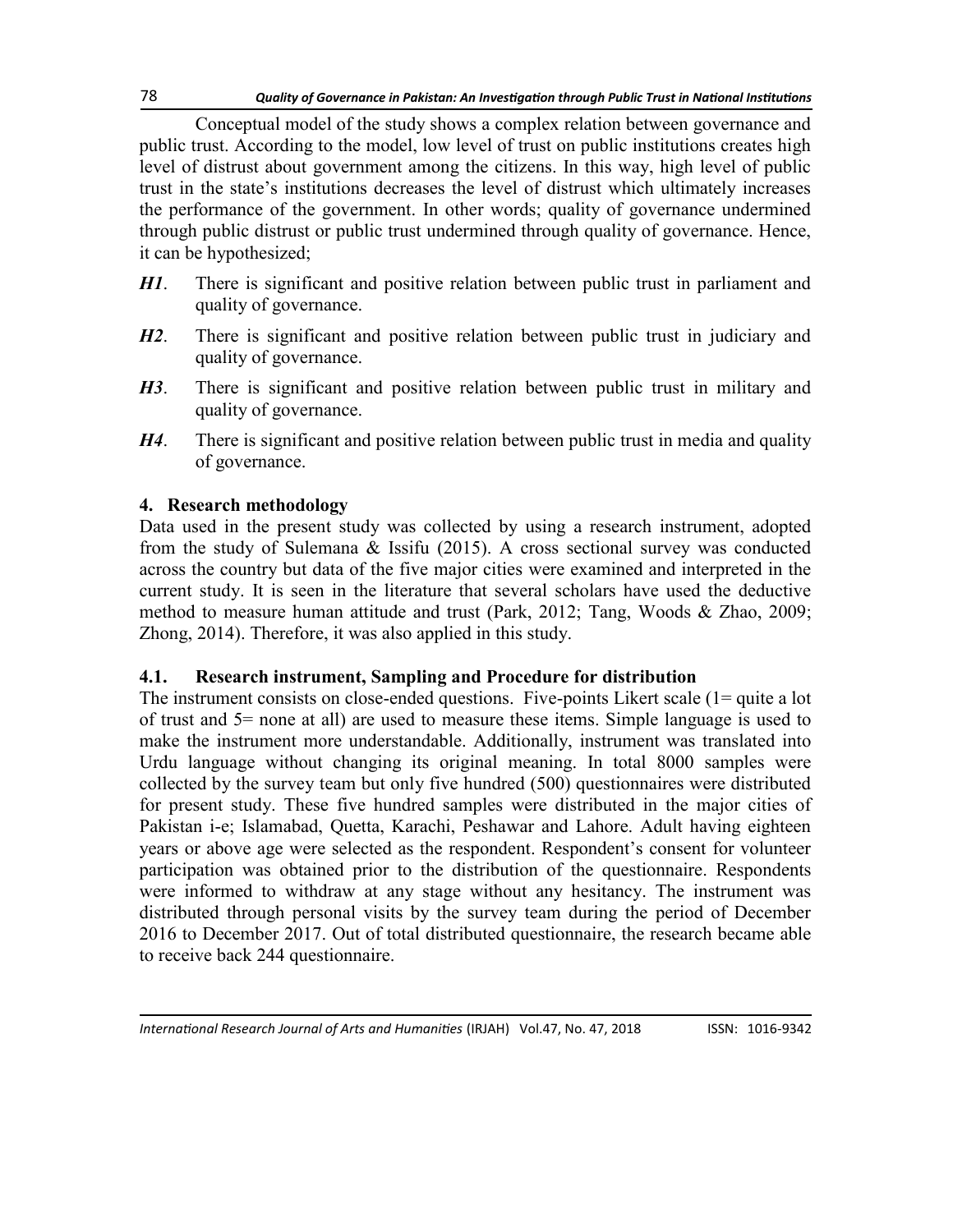Conceptual model of the study shows a complex relation between governance and public trust. According to the model, low level of trust on public institutions creates high level of distrust about government among the citizens. In this way, high level of public trust in the state's institutions decreases the level of distrust which ultimately increases the performance of the government. In other words; quality of governance undermined through public distrust or public trust undermined through quality of governance. Hence, it can be hypothesized;

- *H1*. There is significant and positive relation between public trust in parliament and quality of governance.
- *H2*. There is significant and positive relation between public trust in judiciary and quality of governance.
- *H3*. There is significant and positive relation between public trust in military and quality of governance.
- *H4*. There is significant and positive relation between public trust in media and quality of governance.

# **4. Research methodology**

Data used in the present study was collected by using a research instrument, adopted from the study of Sulemana & Issifu (2015). A cross sectional survey was conducted across the country but data of the five major cities were examined and interpreted in the current study. It is seen in the literature that several scholars have used the deductive method to measure human attitude and trust ([Park, 2012;](file:///F:/IRJAH%20Folder/IRJAH%2047/6.%20co%20Jamal%20Mangi.docx#_ENREF_48#_ENREF_48) [Tang, Woods & Zhao, 2009;](file:///F:/IRJAH%20Folder/IRJAH%2047/6.%20co%20Jamal%20Mangi.docx#_ENREF_51#_ENREF_51)  [Zhong, 2014\).](file:///F:/IRJAH%20Folder/IRJAH%2047/6.%20co%20Jamal%20Mangi.docx#_ENREF_60#_ENREF_60) Therefore, it was also applied in this study.

# **4.1. Research instrument, Sampling and Procedure for distribution**

The instrument consists on close-ended questions. Five-points Likert scale (1= quite a lot of trust and 5= none at all) are used to measure these items. Simple language is used to make the instrument more understandable. Additionally, instrument was translated into Urdu language without changing its original meaning. In total 8000 samples were collected by the survey team but only five hundred (500) questionnaires were distributed for present study. These five hundred samples were distributed in the major cities of Pakistan i-e; Islamabad, Quetta, Karachi, Peshawar and Lahore. Adult having eighteen years or above age were selected as the respondent. Respondent's consent for volunteer participation was obtained prior to the distribution of the questionnaire. Respondents were informed to withdraw at any stage without any hesitancy. The instrument was distributed through personal visits by the survey team during the period of December 2016 to December 2017. Out of total distributed questionnaire, the research became able to receive back 244 questionnaire.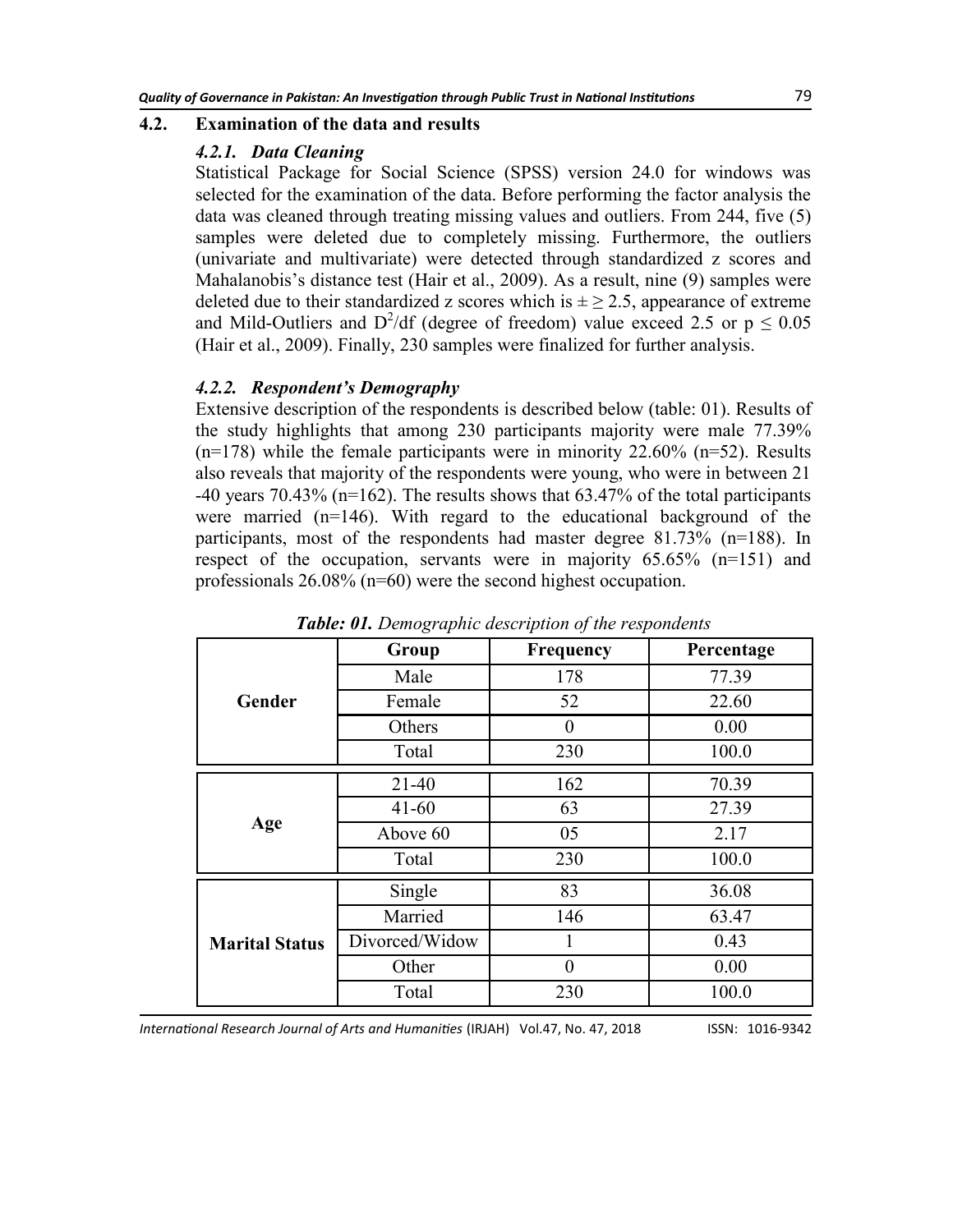#### **4.2. Examination of the data and results**

#### *4.2.1. Data Cleaning*

Statistical Package for Social Science (SPSS) version 24.0 for windows was selected for the examination of the data. Before performing the factor analysis the data was cleaned through treating missing values and outliers. From 244, five (5) samples were deleted due to completely missing. Furthermore, the outliers (univariate and multivariate) were detected through standardized z scores and Mahalanobis's distance test ([Hair et al., 2009\).](file:///F:/IRJAH%20Folder/IRJAH%2047/6.%20co%20Jamal%20Mangi.docx#_ENREF_24#_ENREF_24) As a result, nine (9) samples were deleted due to their standardized z scores which is  $\pm \geq 2.5$ , appearance of extreme and Mild-Outliers and  $D^2/df$  (degree of freedom) value exceed 2.5 or  $p \le 0.05$ (Hair et al., 2009). Finally, 230 samples were finalized for further analysis.

#### *4.2.2. Respondent's Demography*

Extensive description of the respondents is described below (table: 01). Results of the study highlights that among 230 participants majority were male 77.39%  $(n=178)$  while the female participants were in minority 22.60%  $(n=52)$ . Results also reveals that majority of the respondents were young, who were in between 21 -40 years 70.43% (n=162). The results shows that  $63.47\%$  of the total participants were married (n=146). With regard to the educational background of the participants, most of the respondents had master degree 81.73% (n=188). In respect of the occupation, servants were in majority 65.65% (n=151) and professionals 26.08% (n=60) were the second highest occupation.

|                       | Group          | Frequency | Percentage |  |
|-----------------------|----------------|-----------|------------|--|
|                       | Male           | 178       | 77.39      |  |
| Gender                | Female         | 52        | 22.60      |  |
|                       | Others         | 0         | 0.00       |  |
|                       | Total          | 230       | 100.0      |  |
|                       | $21 - 40$      | 162       | 70.39      |  |
|                       | $41 - 60$      | 63        | 27.39      |  |
| Age                   | Above 60       | 05        | 2.17       |  |
|                       | Total          | 230       | 100.0      |  |
|                       | Single         | 83        | 36.08      |  |
|                       | Married        | 146       | 63.47      |  |
| <b>Marital Status</b> | Divorced/Widow |           | 0.43       |  |
|                       | Other          | 0         | 0.00       |  |
|                       | Total          | 230       | 100.0      |  |

*Table: 01. Demographic description of the respondents*

*International Research Journal of Arts and Humanities* (IRJAH) Vol.47, No. 47, 2018 **ISSN: 1016-9342**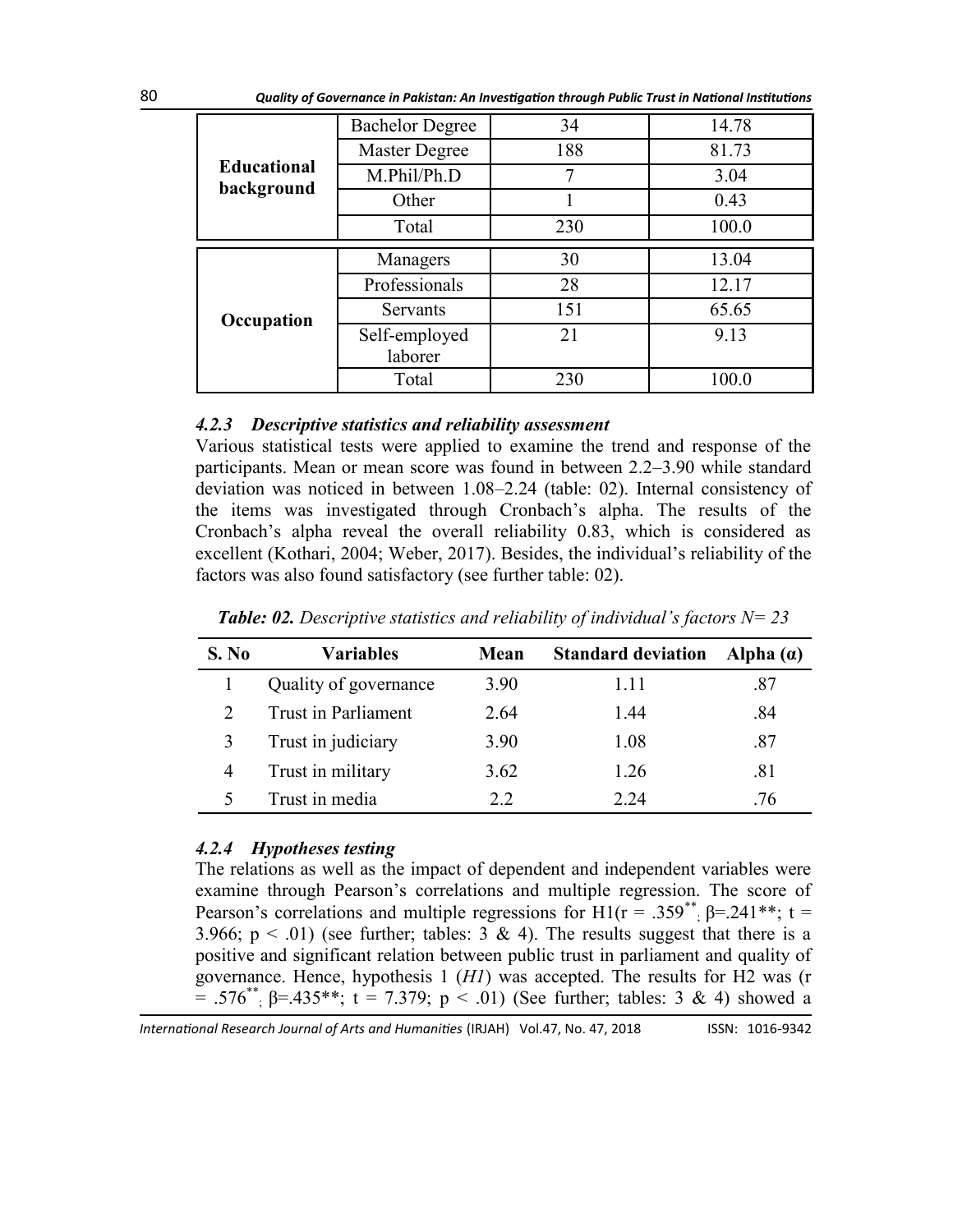|                    | <b>Bachelor Degree</b>   | 34                     | 14.78 |
|--------------------|--------------------------|------------------------|-------|
|                    | Master Degree            | 188                    | 81.73 |
| <b>Educational</b> | M.Phil/Ph.D              |                        | 3.04  |
| background         | Other                    |                        | 0.43  |
|                    | Total                    | 230                    | 100.0 |
|                    | Managers                 | 30                     | 13.04 |
|                    | Professionals            | 28<br>151<br>21<br>230 | 12.17 |
| Occupation         | Servants                 |                        | 65.65 |
|                    | Self-employed<br>laborer |                        | 9.13  |
|                    | Total                    |                        | 100.0 |

### *4.2.3 Descriptive statistics and reliability assessment*

Various statistical tests were applied to examine the trend and response of the participants. Mean or mean score was found in between 2.2–3.90 while standard deviation was noticed in between 1.08–2.24 (table: 02). Internal consistency of the items was investigated through Cronbach's alpha. The results of the Cronbach's alpha reveal the overall reliability 0.83, which is considered as excellent [\(Kothari, 2004;](file:///F:/IRJAH%20Folder/IRJAH%2047/6.%20co%20Jamal%20Mangi.docx#_ENREF_38#_ENREF_38) [Weber, 2017\).](file:///F:/IRJAH%20Folder/IRJAH%2047/6.%20co%20Jamal%20Mangi.docx#_ENREF_56#_ENREF_56) Besides, the individual's reliability of the factors was also found satisfactory (see further table: 02).

| S. No | <b>Variables</b>      | Mean | <b>Standard deviation</b> | Alpha $(a)$ |
|-------|-----------------------|------|---------------------------|-------------|
|       | Quality of governance | 3.90 | 1.11                      | .87         |
|       | Trust in Parliament   | 2.64 | 1.44                      | .84         |
|       | Trust in judiciary    | 3.90 | 1.08                      | .87         |
| 4     | Trust in military     | 3.62 | 1.26                      | .81         |
|       | Trust in media        | 2.2  | 2.24                      | 76          |

**Table: 02.** Descriptive statistics and reliability of individual's factors  $N = 23$ 

### *4.2.4 Hypotheses testing*

The relations as well as the impact of dependent and independent variables were examine through Pearson's correlations and multiple regression. The score of Pearson's correlations and multiple regressions for  $H1(r = .359^{**}; \beta = .241^{**}; t =$ 3.966;  $p < .01$ ) (see further; tables: 3 & 4). The results suggest that there is a positive and significant relation between public trust in parliament and quality of governance. Hence, hypothesis 1 (*H1*) was accepted. The results for H2 was (r = .576<sup>\*\*</sup>; β=.435\*\*; t = 7.379; p < .01) (See further; tables: 3 & 4) showed a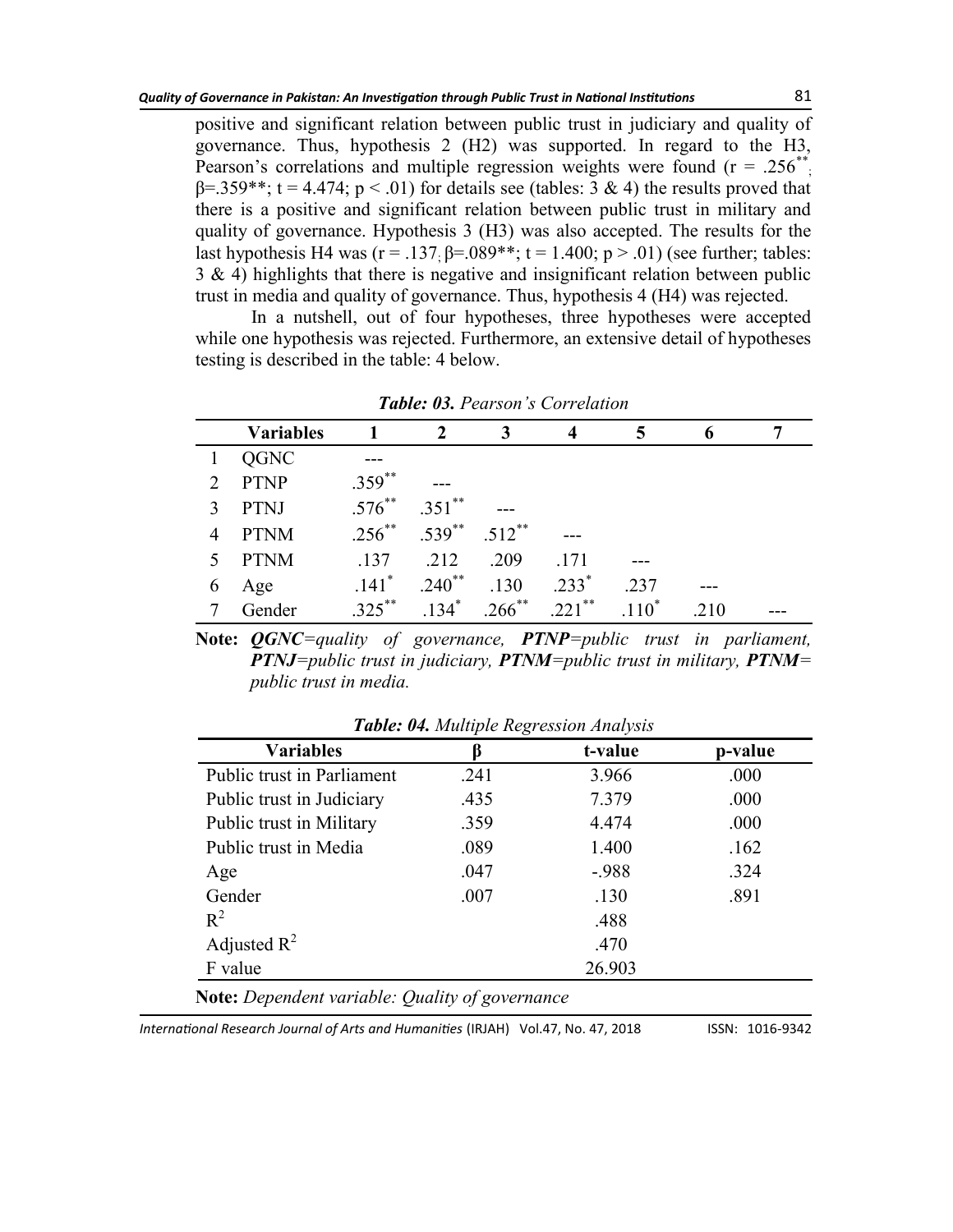positive and significant relation between public trust in judiciary and quality of governance. Thus, hypothesis 2 (H2) was supported. In regard to the H3, Pearson's correlations and multiple regression weights were found  $(r = .256^{**})$  $\beta$ =.359\*\*; t = 4.474; p < .01) for details see (tables: 3 & 4) the results proved that there is a positive and significant relation between public trust in military and quality of governance. Hypothesis 3 (H3) was also accepted. The results for the last hypothesis H4 was ( $r = .137$ ;  $\beta = .089**$ ;  $t = 1.400$ ;  $p > .01$ ) (see further; tables:  $3 \& 4$ ) highlights that there is negative and insignificant relation between public trust in media and quality of governance. Thus, hypothesis 4 (H4) was rejected.

In a nutshell, out of four hypotheses, three hypotheses were accepted while one hypothesis was rejected. Furthermore, an extensive detail of hypotheses testing is described in the table: 4 below.

|   | <b>Variables</b> |                     |                         | 3                    |          |         |     |  |
|---|------------------|---------------------|-------------------------|----------------------|----------|---------|-----|--|
|   | QGNC             |                     |                         |                      |          |         |     |  |
| 2 | PTNP             | $.359^{**}$         |                         |                      |          |         |     |  |
| 3 | PTNJ             | $.576^{**}$         | $.351$ **               | ---                  |          |         |     |  |
|   | <b>PTNM</b>      | $.256***$           | $.539^{**}$ $.512^{**}$ |                      | ---      |         |     |  |
| 5 | PTNM             | .137                | .212                    | .209                 | .171     |         |     |  |
| 6 | Age              | $.141$ <sup>*</sup> | $.240$ <sup>**</sup>    | .130                 | $.233*$  | .237    |     |  |
|   | Gender           | $325***$            | $134*$                  | $.266$ <sup>**</sup> | $221$ ** | $110^*$ | 210 |  |

*Table: 03. Pearson's Correlation*

**Note:** *QGNC=quality of governance, PTNP=public trust in parliament, PTNJ=public trust in judiciary, PTNM=public trust in military, PTNM= public trust in media.*

| <b>Variables</b>           | ß    | t-value | p-value |
|----------------------------|------|---------|---------|
| Public trust in Parliament | .241 | 3.966   | .000    |
| Public trust in Judiciary  | .435 | 7.379   | .000    |
| Public trust in Military   | .359 | 4.474   | .000    |
| Public trust in Media      | .089 | 1.400   | .162    |
| Age                        | .047 | $-988$  | .324    |
| Gender                     | .007 | .130    | .891    |
| $R^2$                      |      | .488    |         |
| Adjusted $\mathbb{R}^2$    |      | .470    |         |
| F value                    |      | 26.903  |         |

*Table: 04. Multiple Regression Analysis*

**Note:** *Dependent variable: Quality of governance*

*International Research Journal of Arts and Humanities* (IRJAH) Vol.47, No. 47, 2018 **ISSN: 1016-9342**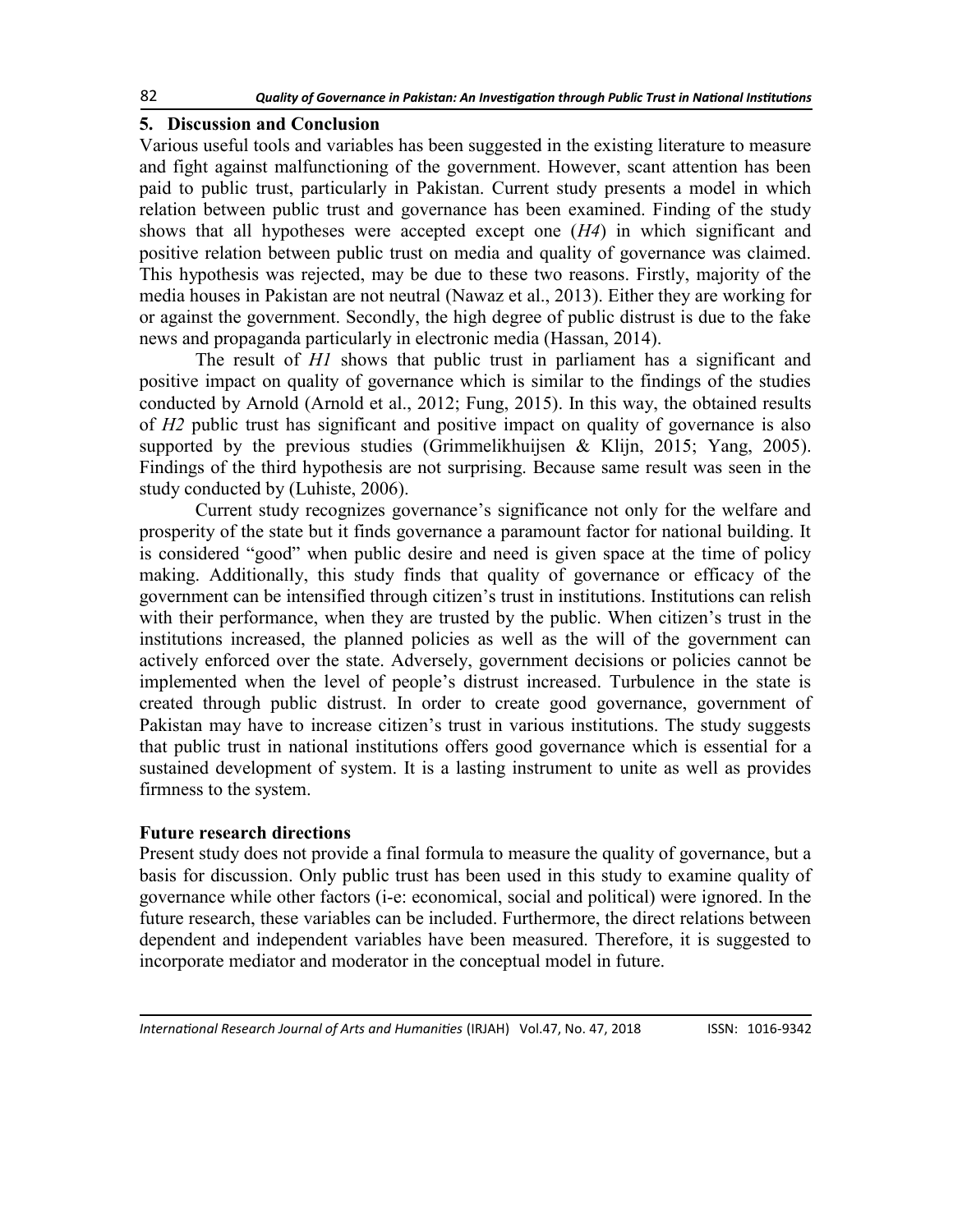### **5. Discussion and Conclusion**

Various useful tools and variables has been suggested in the existing literature to measure and fight against malfunctioning of the government. However, scant attention has been paid to public trust, particularly in Pakistan. Current study presents a model in which relation between public trust and governance has been examined. Finding of the study shows that all hypotheses were accepted except one (*H4*) in which significant and positive relation between public trust on media and quality of governance was claimed. This hypothesis was rejected, may be due to these two reasons. Firstly, majority of the media houses in Pakistan are not neutral [\(Nawaz et al., 2013\).](file:///F:/IRJAH%20Folder/IRJAH%2047/6.%20co%20Jamal%20Mangi.docx#_ENREF_44#_ENREF_44) Either they are working for or against the government. Secondly, the high degree of public distrust is due to the fake news and propaganda particularly in electronic media ([Hassan, 2014\)](file:///F:/IRJAH%20Folder/IRJAH%2047/6.%20co%20Jamal%20Mangi.docx#_ENREF_25#_ENREF_25).

The result of *H1* shows that public trust in parliament has a significant and positive impact on quality of governance which is similar to the findings of the studies conducted by Arnold ([Arnold et al., 2012;](file:///F:/IRJAH%20Folder/IRJAH%2047/6.%20co%20Jamal%20Mangi.docx#_ENREF_5#_ENREF_5) [Fung, 2015\).](file:///F:/IRJAH%20Folder/IRJAH%2047/6.%20co%20Jamal%20Mangi.docx#_ENREF_20#_ENREF_20) In this way, the obtained results of *H2* public trust has significant and positive impact on quality of governance is also supported by the previous studies (Grimmelikhuijsen  $\&$  Klijn, 2015; [Yang, 2005\)](file:///F:/IRJAH%20Folder/IRJAH%2047/6.%20co%20Jamal%20Mangi.docx#_ENREF_58#_ENREF_58). Findings of the third hypothesis are not surprising. Because same result was seen in the study conducted by ([Luhiste, 2006\).](file:///F:/IRJAH%20Folder/IRJAH%2047/6.%20co%20Jamal%20Mangi.docx#_ENREF_39#_ENREF_39)

Current study recognizes governance's significance not only for the welfare and prosperity of the state but it finds governance a paramount factor for national building. It is considered "good" when public desire and need is given space at the time of policy making. Additionally, this study finds that quality of governance or efficacy of the government can be intensified through citizen's trust in institutions. Institutions can relish with their performance, when they are trusted by the public. When citizen's trust in the institutions increased, the planned policies as well as the will of the government can actively enforced over the state. Adversely, government decisions or policies cannot be implemented when the level of people's distrust increased. Turbulence in the state is created through public distrust. In order to create good governance, government of Pakistan may have to increase citizen's trust in various institutions. The study suggests that public trust in national institutions offers good governance which is essential for a sustained development of system. It is a lasting instrument to unite as well as provides firmness to the system.

# **Future research directions**

Present study does not provide a final formula to measure the quality of governance, but a basis for discussion. Only public trust has been used in this study to examine quality of governance while other factors (i-e: economical, social and political) were ignored. In the future research, these variables can be included. Furthermore, the direct relations between dependent and independent variables have been measured. Therefore, it is suggested to incorporate mediator and moderator in the conceptual model in future.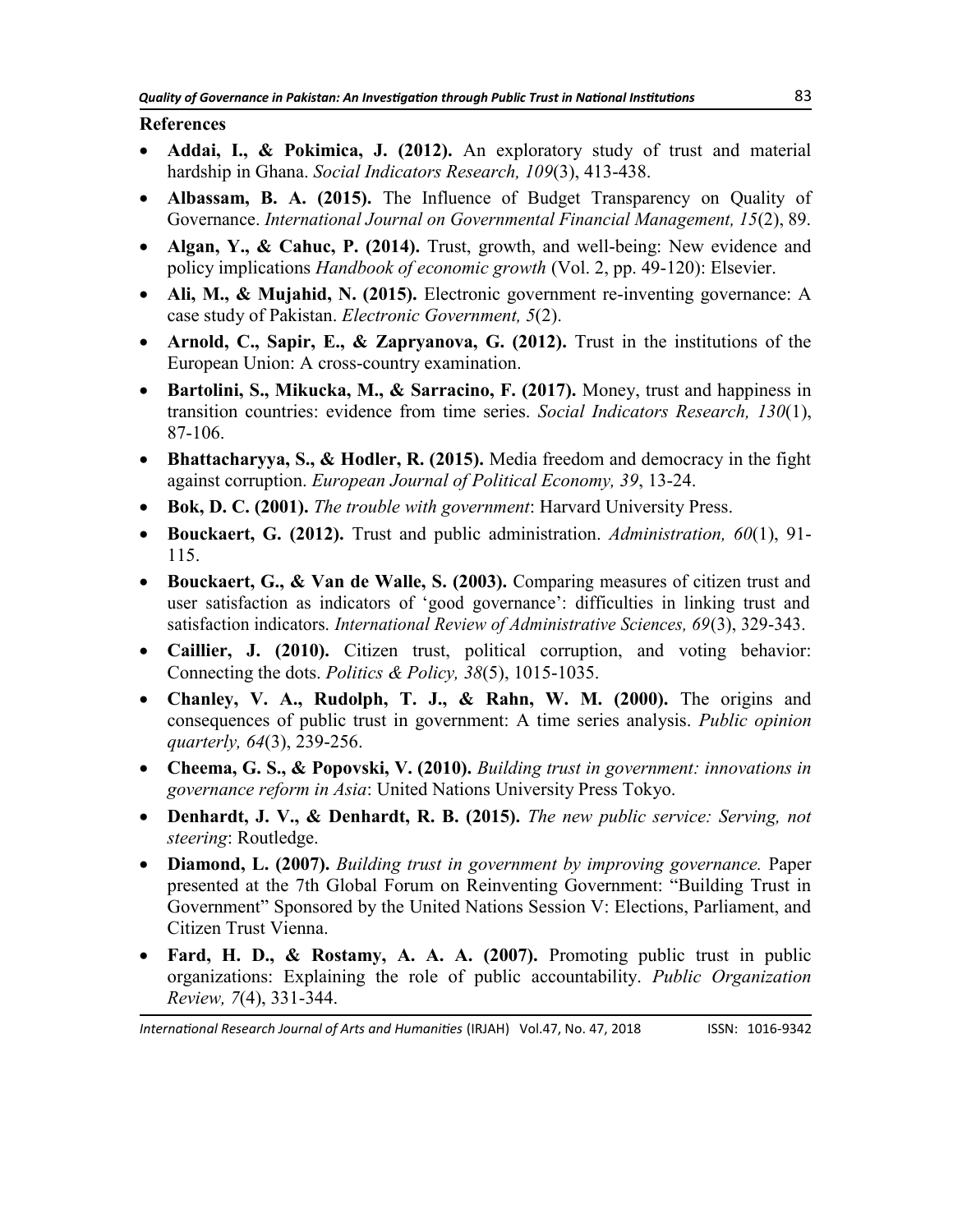### **References**

- **Addai, I., & Pokimica, J. (2012).** An exploratory study of trust and material hardship in Ghana. *Social Indicators Research, 109*(3), 413-438.
- **Albassam, B. A. (2015).** The Influence of Budget Transparency on Quality of Governance. *International Journal on Governmental Financial Management, 15*(2), 89.
- **Algan, Y., & Cahuc, P. (2014).** Trust, growth, and well-being: New evidence and policy implications *Handbook of economic growth* (Vol. 2, pp. 49-120): Elsevier.
- **Ali, M., & Mujahid, N. (2015).** Electronic government re-inventing governance: A case study of Pakistan. *Electronic Government, 5*(2).
- **Arnold, C., Sapir, E., & Zapryanova, G. (2012).** Trust in the institutions of the European Union: A cross-country examination.
- **Bartolini, S., Mikucka, M., & Sarracino, F. (2017).** Money, trust and happiness in transition countries: evidence from time series. *Social Indicators Research, 130*(1), 87-106.
- **Bhattacharyya, S., & Hodler, R. (2015).** Media freedom and democracy in the fight against corruption. *European Journal of Political Economy, 39*, 13-24.
- **Bok, D. C. (2001).** *The trouble with government*: Harvard University Press.
- **Bouckaert, G. (2012).** Trust and public administration. *Administration, 60*(1), 91- 115.
- **Bouckaert, G., & Van de Walle, S. (2003).** Comparing measures of citizen trust and user satisfaction as indicators of ‗good governance': difficulties in linking trust and satisfaction indicators. *International Review of Administrative Sciences, 69*(3), 329-343.
- **Caillier, J. (2010).** Citizen trust, political corruption, and voting behavior: Connecting the dots. *Politics & Policy, 38*(5), 1015-1035.
- **Chanley, V. A., Rudolph, T. J., & Rahn, W. M. (2000).** The origins and consequences of public trust in government: A time series analysis. *Public opinion quarterly, 64*(3), 239-256.
- **Cheema, G. S., & Popovski, V. (2010).** *Building trust in government: innovations in governance reform in Asia*: United Nations University Press Tokyo.
- **Denhardt, J. V., & Denhardt, R. B. (2015).** *The new public service: Serving, not steering*: Routledge.
- **Diamond, L. (2007).** *Building trust in government by improving governance.* Paper presented at the 7th Global Forum on Reinventing Government: "Building Trust in Government" Sponsored by the United Nations Session V: Elections, Parliament, and Citizen Trust Vienna.
- **Fard, H. D., & Rostamy, A. A. A. (2007).** Promoting public trust in public organizations: Explaining the role of public accountability. *Public Organization Review, 7*(4), 331-344.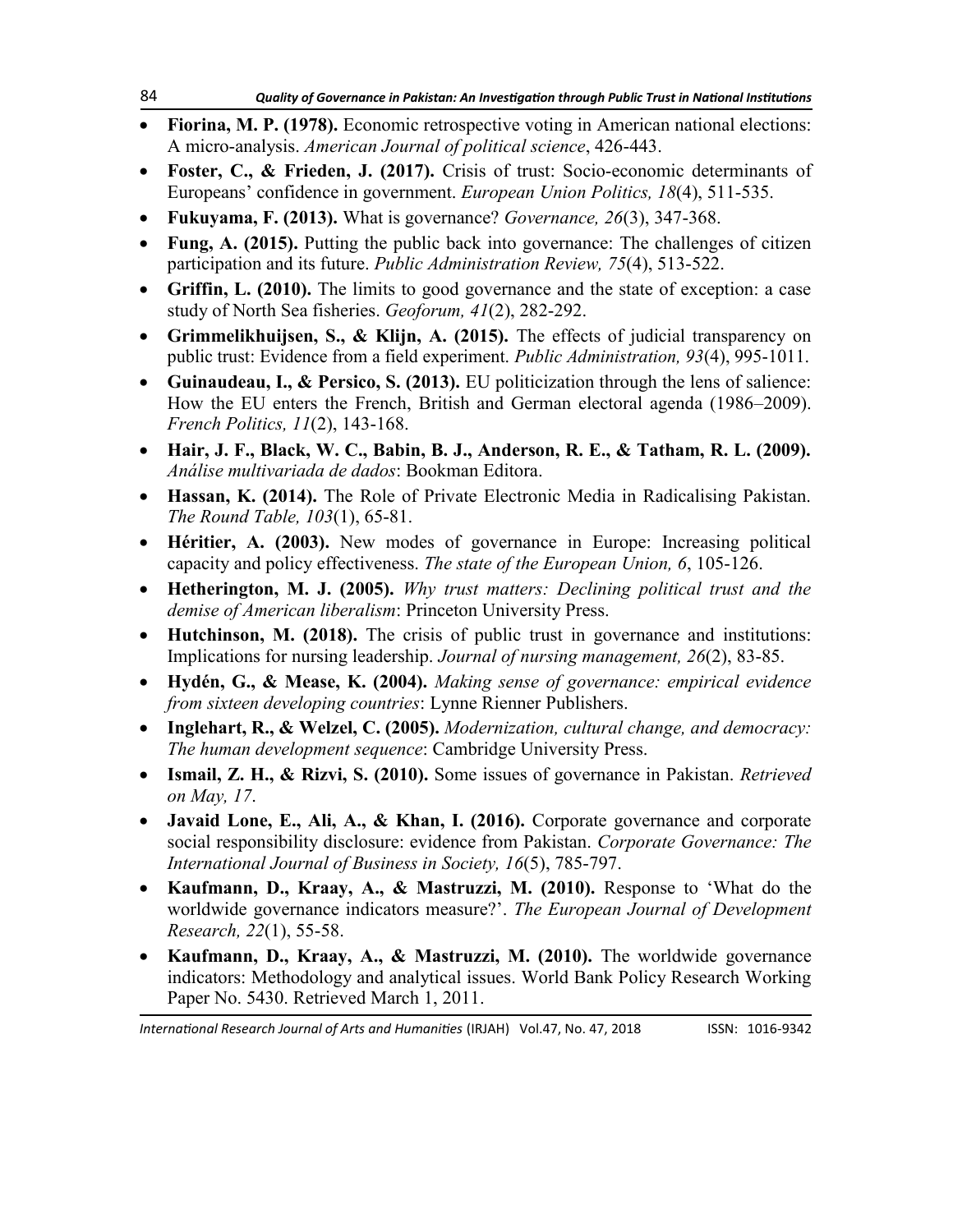- **Fiorina, M. P. (1978).** Economic retrospective voting in American national elections: A micro-analysis. *American Journal of political science*, 426-443.
- **Foster, C., & Frieden, J. (2017).** Crisis of trust: Socio-economic determinants of Europeans' confidence in government. *European Union Politics, 18*(4), 511-535.
- **Fukuyama, F. (2013).** What is governance? *Governance, 26*(3), 347-368.
- **Fung, A. (2015).** Putting the public back into governance: The challenges of citizen participation and its future. *Public Administration Review, 75*(4), 513-522.
- **Griffin, L. (2010).** The limits to good governance and the state of exception: a case study of North Sea fisheries. *Geoforum, 41*(2), 282-292.
- **Grimmelikhuijsen, S., & Klijn, A. (2015).** The effects of judicial transparency on public trust: Evidence from a field experiment. *Public Administration, 93*(4), 995-1011.
- **Guinaudeau, I., & Persico, S. (2013).** EU politicization through the lens of salience: How the EU enters the French, British and German electoral agenda (1986–2009). *French Politics, 11*(2), 143-168.
- **Hair, J. F., Black, W. C., Babin, B. J., Anderson, R. E., & Tatham, R. L. (2009).** *Análise multivariada de dados*: Bookman Editora.
- **Hassan, K. (2014).** The Role of Private Electronic Media in Radicalising Pakistan. *The Round Table, 103*(1), 65-81.
- **Héritier, A. (2003).** New modes of governance in Europe: Increasing political capacity and policy effectiveness. *The state of the European Union, 6*, 105-126.
- **Hetherington, M. J. (2005).** *Why trust matters: Declining political trust and the demise of American liberalism*: Princeton University Press.
- **Hutchinson, M. (2018).** The crisis of public trust in governance and institutions: Implications for nursing leadership. *Journal of nursing management, 26*(2), 83-85.
- **Hydén, G., & Mease, K. (2004).** *Making sense of governance: empirical evidence from sixteen developing countries*: Lynne Rienner Publishers.
- **Inglehart, R., & Welzel, C. (2005).** *Modernization, cultural change, and democracy: The human development sequence*: Cambridge University Press.
- **Ismail, Z. H., & Rizvi, S. (2010).** Some issues of governance in Pakistan. *Retrieved on May, 17*.
- **Javaid Lone, E., Ali, A., & Khan, I. (2016).** Corporate governance and corporate social responsibility disclosure: evidence from Pakistan. *Corporate Governance: The International Journal of Business in Society, 16*(5), 785-797.
- Kaufmann, D., Kraay, A., & Mastruzzi, M. (2010). Response to 'What do the worldwide governance indicators measure?'. *The European Journal of Development Research, 22*(1), 55-58.
- **Kaufmann, D., Kraay, A., & Mastruzzi, M. (2010).** The worldwide governance indicators: Methodology and analytical issues. World Bank Policy Research Working Paper No. 5430. Retrieved March 1, 2011.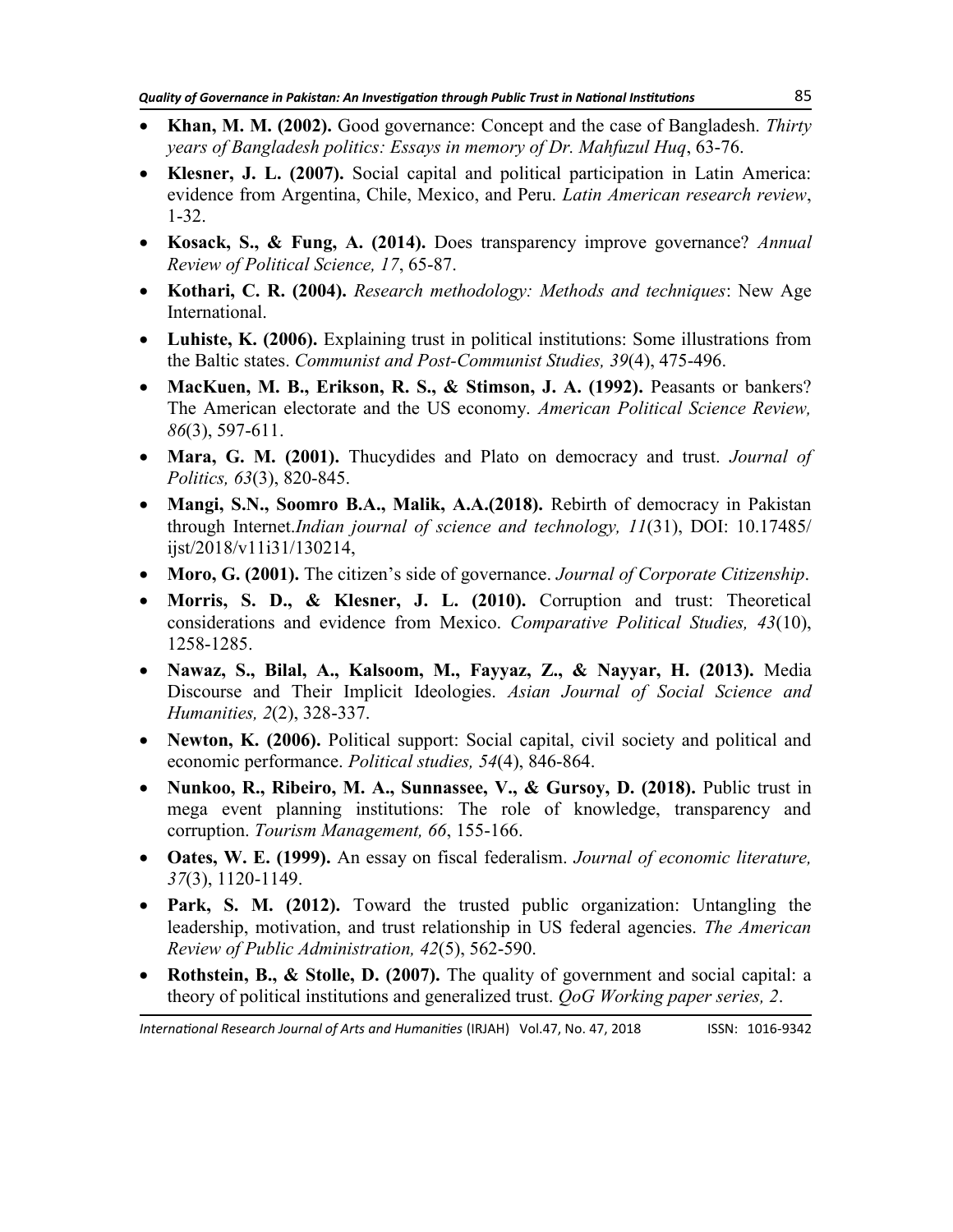- **Khan, M. M. (2002).** Good governance: Concept and the case of Bangladesh. *Thirty years of Bangladesh politics: Essays in memory of Dr. Mahfuzul Huq*, 63-76.
- **Klesner, J. L. (2007).** Social capital and political participation in Latin America: evidence from Argentina, Chile, Mexico, and Peru. *Latin American research review*, 1-32.
- **Kosack, S., & Fung, A. (2014).** Does transparency improve governance? *Annual Review of Political Science, 17*, 65-87.
- **Kothari, C. R. (2004).** *Research methodology: Methods and techniques*: New Age International.
- **Luhiste, K. (2006).** Explaining trust in political institutions: Some illustrations from the Baltic states. *Communist and Post-Communist Studies, 39*(4), 475-496.
- **MacKuen, M. B., Erikson, R. S., & Stimson, J. A. (1992).** Peasants or bankers? The American electorate and the US economy. *American Political Science Review, 86*(3), 597-611.
- **Mara, G. M. (2001).** Thucydides and Plato on democracy and trust. *Journal of Politics, 63*(3), 820-845.
- **Mangi, S.N., Soomro B.A., Malik, A.A.(2018).** Rebirth of democracy in Pakistan through Internet.*Indian journal of science and technology, 11*(31), DOI: 10.17485/ ijst/2018/v11i31/130214,
- **Moro, G. (2001).** The citizen's side of governance. *Journal of Corporate Citizenship*.
- **Morris, S. D., & Klesner, J. L. (2010).** Corruption and trust: Theoretical considerations and evidence from Mexico. *Comparative Political Studies, 43*(10), 1258-1285.
- **Nawaz, S., Bilal, A., Kalsoom, M., Fayyaz, Z., & Nayyar, H. (2013).** Media Discourse and Their Implicit Ideologies. *Asian Journal of Social Science and Humanities, 2*(2), 328-337.
- Newton, K. (2006). Political support: Social capital, civil society and political and economic performance. *Political studies, 54*(4), 846-864.
- **Nunkoo, R., Ribeiro, M. A., Sunnassee, V., & Gursoy, D. (2018).** Public trust in mega event planning institutions: The role of knowledge, transparency and corruption. *Tourism Management, 66*, 155-166.
- **Oates, W. E. (1999).** An essay on fiscal federalism. *Journal of economic literature, 37*(3), 1120-1149.
- **Park, S. M. (2012).** Toward the trusted public organization: Untangling the leadership, motivation, and trust relationship in US federal agencies. *The American Review of Public Administration, 42*(5), 562-590.
- **Rothstein, B., & Stolle, D. (2007).** The quality of government and social capital: a theory of political institutions and generalized trust. *QoG Working paper series, 2*.